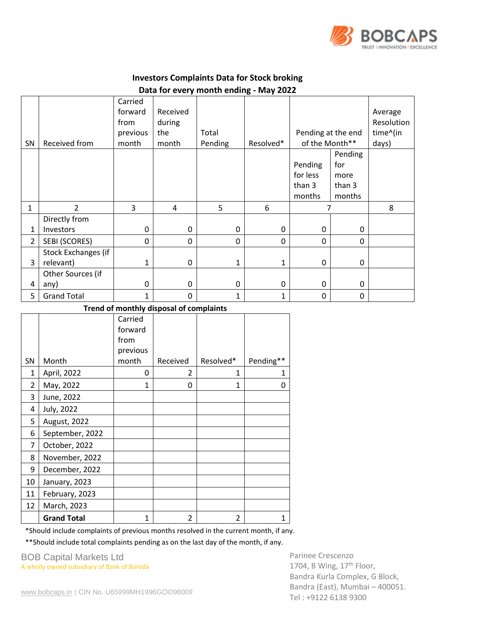

## **Investors Complaints Data for Stock broking Data for every month ending - May 2022**

|                |                     | Carried<br>forward<br>from | Received<br>during |         |           |                    |         | Average<br>Resolution |
|----------------|---------------------|----------------------------|--------------------|---------|-----------|--------------------|---------|-----------------------|
|                |                     | previous                   | the                | Total   |           | Pending at the end |         | time^(in              |
| SN             | Received from       | month                      | month              | Pending | Resolved* | of the Month**     |         | days)                 |
|                |                     |                            |                    |         |           |                    | Pending |                       |
|                |                     |                            |                    |         |           | Pending            | for     |                       |
|                |                     |                            |                    |         |           | for less           | more    |                       |
|                |                     |                            |                    |         |           | than 3             | than 3  |                       |
|                |                     |                            |                    |         |           | months             | months  |                       |
| 1              | 2                   | 3                          | 4                  | 5       | 6         |                    |         | 8                     |
|                | Directly from       |                            |                    |         |           |                    |         |                       |
| 1              | Investors           | $\Omega$                   | 0                  | 0       | $\Omega$  | $\Omega$           | 0       |                       |
| $\overline{2}$ | SEBI (SCORES)       | 0                          | 0                  | 0       | 0         | $\Omega$           | 0       |                       |
|                | Stock Exchanges (if |                            |                    |         |           |                    |         |                       |
| 3              | relevant)           | 1                          | 0                  | 1       | 1         | $\mathbf{0}$       | 0       |                       |
|                | Other Sources (if   |                            |                    |         |           |                    |         |                       |
| 4              | any)                | 0                          | $\boldsymbol{0}$   | 0       | $\Omega$  | $\Omega$           | 0       |                       |
| 5              | <b>Grand Total</b>  | 1                          | 0                  | 1       | 1         | 0                  | 0       |                       |

## **Trend of monthly disposal of complaints**

|                |                    | Carried  |                |                |           |
|----------------|--------------------|----------|----------------|----------------|-----------|
|                |                    | forward  |                |                |           |
|                |                    | from     |                |                |           |
|                |                    | previous |                |                |           |
| <b>SN</b>      | Month              | month    | Received       | Resolved*      | Pending** |
| $\mathbf{1}$   | April, 2022        | 0        | 2              | 1              | 1         |
| $\overline{2}$ | May, 2022          | 1        | 0              | $\mathbf{1}$   | 0         |
| 3              | June, 2022         |          |                |                |           |
| 4              | July, 2022         |          |                |                |           |
| 5              | August, 2022       |          |                |                |           |
| 6              | September, 2022    |          |                |                |           |
| 7              | October, 2022      |          |                |                |           |
| 8              | November, 2022     |          |                |                |           |
| 9              | December, 2022     |          |                |                |           |
| 10             | January, 2023      |          |                |                |           |
| 11             | February, 2023     |          |                |                |           |
| 12             | March, 2023        |          |                |                |           |
|                | <b>Grand Total</b> | 1        | $\overline{2}$ | $\overline{2}$ |           |

\*Should include complaints of previous months resolved in the current month, if any.

\*\*Should include total complaints pending as on the last day of the month, if any.

BOB Capital Markets Ltd A wholly owned subsidiary of Bank of Baroda

Parinee Crescenzo 1704, B Wing,  $17<sup>th</sup>$  Floor, Bandra Kurla Complex, G Block, Bandra (East), Mumbai – 400051. Tel : +9122 6138 9300